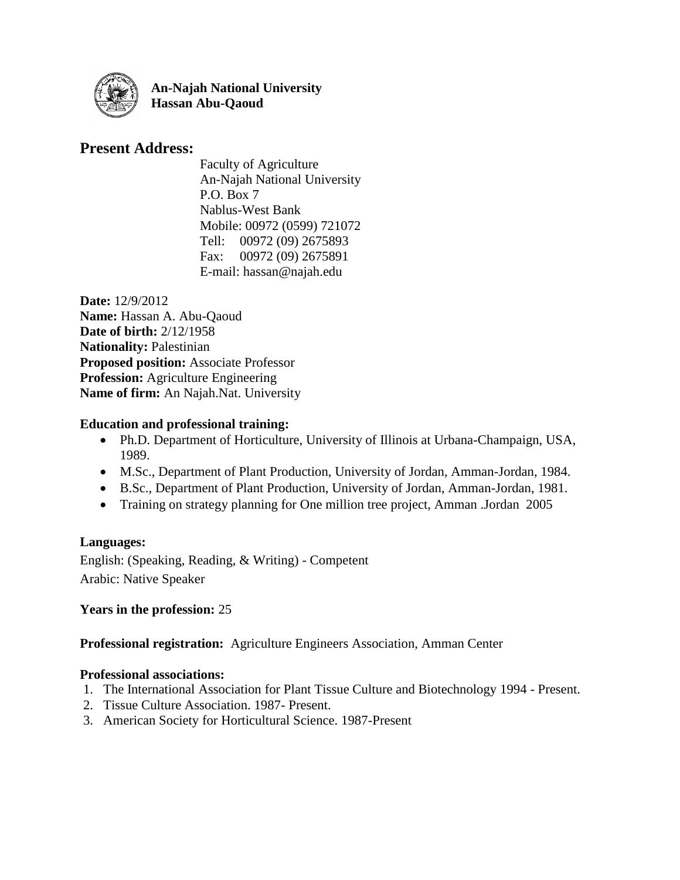

**An-Najah National University Hassan Abu-Qaoud**

# **Present Address:**

Faculty of Agriculture An-Najah National University P.O. Box 7 Nablus-West Bank Mobile: 00972 (0599) 721072 Tell: 00972 (09) 2675893 Fax: 00972 (09) 2675891 E-mail: hassan@najah.edu

**Date:** 12/9/2012 **Name:** Hassan A. Abu-Qaoud **Date of birth:** 2/12/1958 **Nationality:** Palestinian **Proposed position:** Associate Professor **Profession:** Agriculture Engineering **Name of firm:** An Najah.Nat. University

### **Education and professional training:**

- Ph.D. Department of Horticulture, University of Illinois at Urbana-Champaign, USA, 1989.
- M.Sc., Department of Plant Production, University of Jordan, Amman-Jordan, 1984.
- B.Sc., Department of Plant Production, University of Jordan, Amman-Jordan, 1981.
- Training on strategy planning for One million tree project, Amman .Jordan 2005

# **Languages:**

English: (Speaking, Reading, & Writing) - Competent Arabic: Native Speaker

# **Years in the profession:** 25

**Professional registration:** Agriculture Engineers Association, Amman Center

### **Professional associations:**

- 1. The International Association for Plant Tissue Culture and Biotechnology 1994 Present.
- 2. Tissue Culture Association. 1987- Present.
- 3. American Society for Horticultural Science. 1987-Present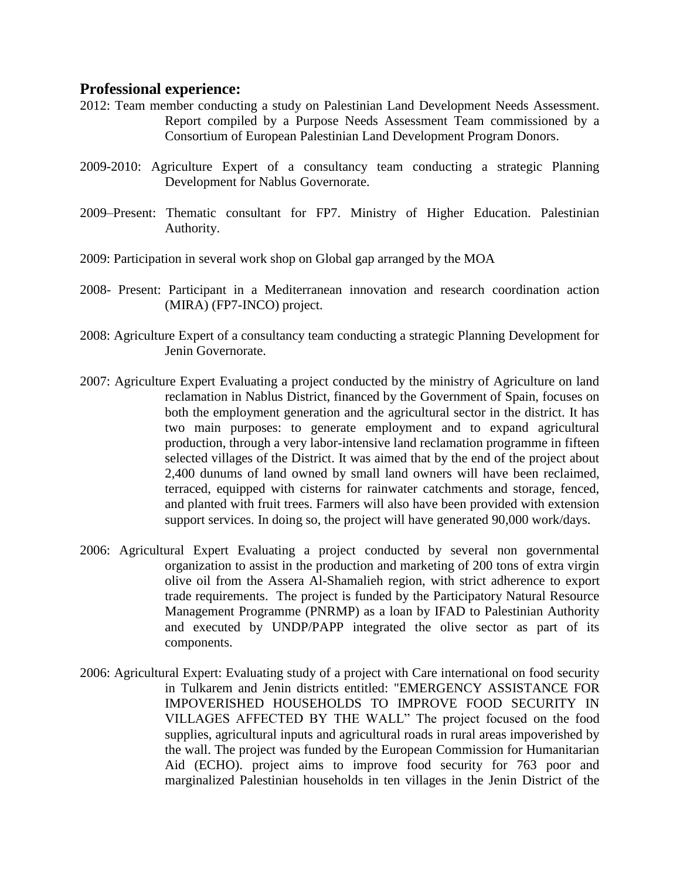#### **Professional experience:**

- 2012: Team member conducting a study on Palestinian Land Development Needs Assessment. Report compiled by a Purpose Needs Assessment Team commissioned by a Consortium of European Palestinian Land Development Program Donors.
- 2009-2010: Agriculture Expert of a consultancy team conducting a strategic Planning Development for Nablus Governorate.
- 2009–Present: Thematic consultant for FP7. Ministry of Higher Education. Palestinian Authority.
- 2009: Participation in several work shop on Global gap arranged by the MOA
- 2008- Present: Participant in a Mediterranean innovation and research coordination action (MIRA) (FP7-INCO) project.
- 2008: Agriculture Expert of a consultancy team conducting a strategic Planning Development for Jenin Governorate.
- 2007: Agriculture Expert Evaluating a project conducted by the ministry of Agriculture on land reclamation in Nablus District, financed by the Government of Spain, focuses on both the employment generation and the agricultural sector in the district. It has two main purposes: to generate employment and to expand agricultural production, through a very labor-intensive land reclamation programme in fifteen selected villages of the District. It was aimed that by the end of the project about 2,400 dunums of land owned by small land owners will have been reclaimed, terraced, equipped with cisterns for rainwater catchments and storage, fenced, and planted with fruit trees. Farmers will also have been provided with extension support services. In doing so, the project will have generated 90,000 work/days.
- 2006: Agricultural Expert Evaluating a project conducted by several non governmental organization to assist in the production and marketing of 200 tons of extra virgin olive oil from the Assera Al-Shamalieh region, with strict adherence to export trade requirements. The project is funded by the Participatory Natural Resource Management Programme (PNRMP) as a loan by IFAD to Palestinian Authority and executed by UNDP/PAPP integrated the olive sector as part of its components.
- 2006: Agricultural Expert: Evaluating study of a project with Care international on food security in Tulkarem and Jenin districts entitled: "EMERGENCY ASSISTANCE FOR IMPOVERISHED HOUSEHOLDS TO IMPROVE FOOD SECURITY IN VILLAGES AFFECTED BY THE WALL" The project focused on the food supplies, agricultural inputs and agricultural roads in rural areas impoverished by the wall. The project was funded by the European Commission for Humanitarian Aid (ECHO). project aims to improve food security for 763 poor and marginalized Palestinian households in ten villages in the Jenin District of the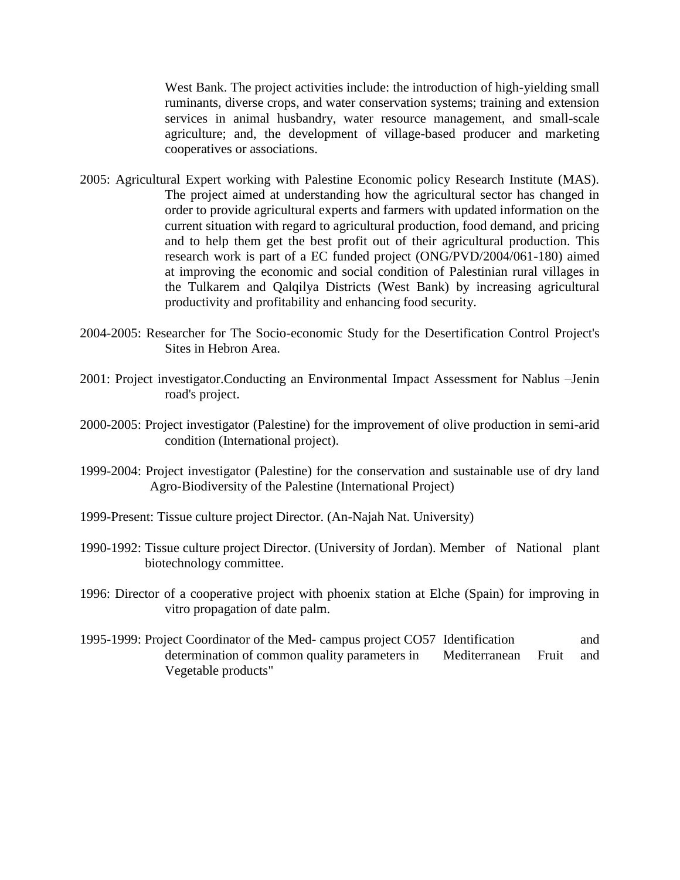West Bank. The project activities include: the introduction of high-yielding small ruminants, diverse crops, and water conservation systems; training and extension services in animal husbandry, water resource management, and small-scale agriculture; and, the development of village-based producer and marketing cooperatives or associations.

- 2005: Agricultural Expert working with Palestine Economic policy Research Institute (MAS). The project aimed at understanding how the agricultural sector has changed in order to provide agricultural experts and farmers with updated information on the current situation with regard to agricultural production, food demand, and pricing and to help them get the best profit out of their agricultural production. This research work is part of a EC funded project (ONG/PVD/2004/061-180) aimed at improving the economic and social condition of Palestinian rural villages in the Tulkarem and Qalqilya Districts (West Bank) by increasing agricultural productivity and profitability and enhancing food security.
- 2004-2005: Researcher for The Socio-economic Study for the Desertification Control Project's Sites in Hebron Area.
- 2001: Project investigator.Conducting an Environmental Impact Assessment for Nablus –Jenin road's project.
- 2000-2005: Project investigator (Palestine) for the improvement of olive production in semi-arid condition (International project).
- 1999-2004: Project investigator (Palestine) for the conservation and sustainable use of dry land Agro-Biodiversity of the Palestine (International Project)
- 1999-Present: Tissue culture project Director. (An-Najah Nat. University)
- 1990-1992: Tissue culture project Director. (University of Jordan). Member of National plant biotechnology committee.
- 1996: Director of a cooperative project with phoenix station at Elche (Spain) for improving in vitro propagation of date palm.
- 1995-1999: Project Coordinator of the Med- campus project CO57 Identification and determination of common quality parameters in Mediterranean Fruit and Vegetable products"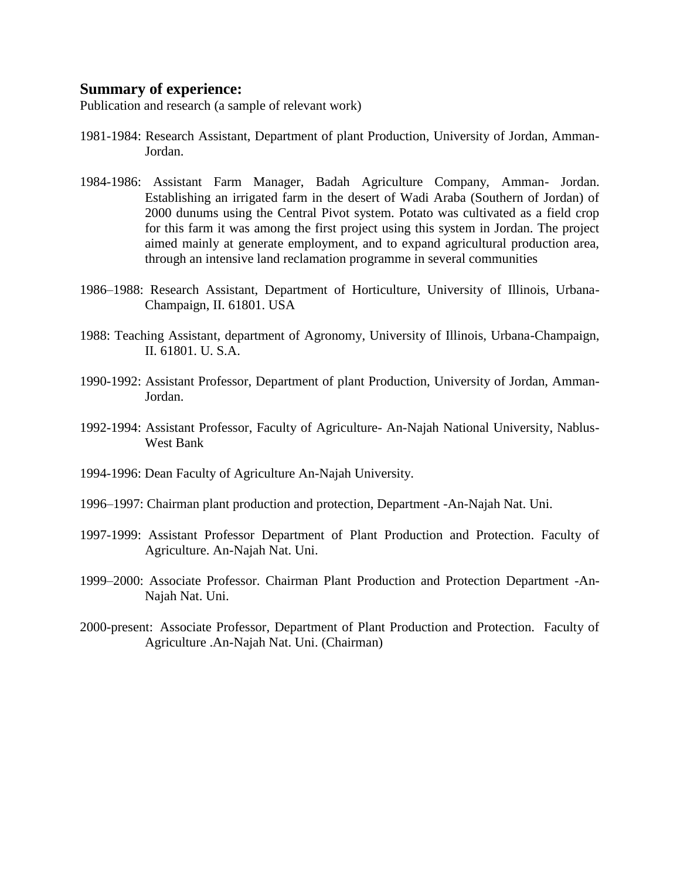#### **Summary of experience:**

Publication and research (a sample of relevant work)

- 1981-1984: Research Assistant, Department of plant Production, University of Jordan, Amman-Jordan.
- 1984-1986: Assistant Farm Manager, Badah Agriculture Company, Amman- Jordan. Establishing an irrigated farm in the desert of Wadi Araba (Southern of Jordan) of 2000 dunums using the Central Pivot system. Potato was cultivated as a field crop for this farm it was among the first project using this system in Jordan. The project aimed mainly at generate employment, and to expand agricultural production area, through an intensive land reclamation programme in several communities
- 1986–1988: Research Assistant, Department of Horticulture, University of Illinois, Urbana-Champaign, II. 61801. USA
- 1988: Teaching Assistant, department of Agronomy, University of Illinois, Urbana-Champaign, II. 61801. U. S.A.
- 1990-1992: Assistant Professor, Department of plant Production, University of Jordan, Amman-Jordan.
- 1992-1994: Assistant Professor, Faculty of Agriculture- An-Najah National University, Nablus-West Bank
- 1994-1996: Dean Faculty of Agriculture An-Najah University.
- 1996–1997: Chairman plant production and protection, Department -An-Najah Nat. Uni.
- 1997-1999: Assistant Professor Department of Plant Production and Protection. Faculty of Agriculture. An-Najah Nat. Uni.
- 1999–2000: Associate Professor. Chairman Plant Production and Protection Department -An-Najah Nat. Uni.
- 2000-present: Associate Professor, Department of Plant Production and Protection. Faculty of Agriculture .An-Najah Nat. Uni. (Chairman)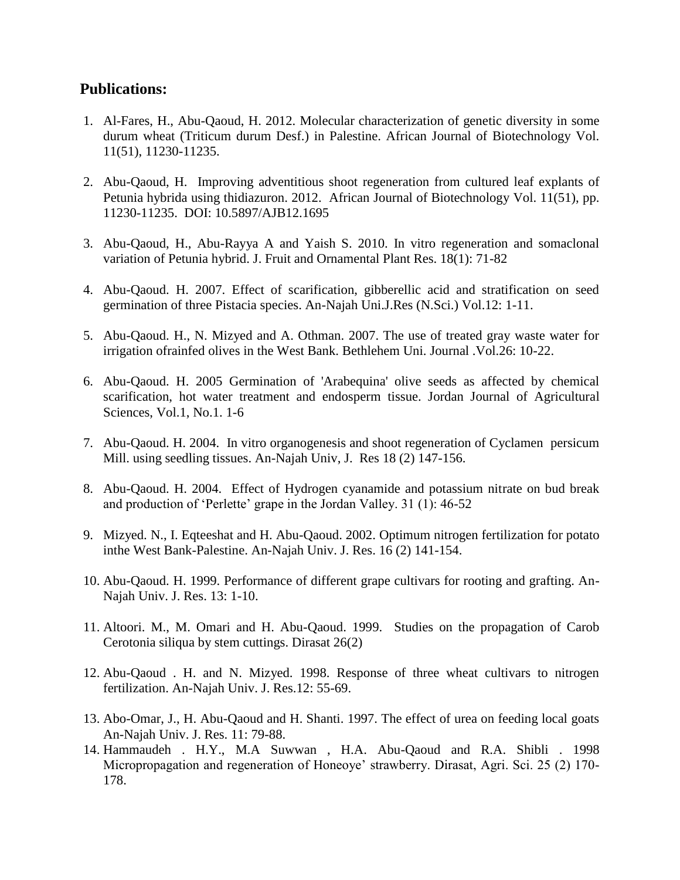## **Publications:**

- 1. Al-Fares, H., Abu-Qaoud, H. 2012. Molecular characterization of genetic diversity in some durum wheat (Triticum durum Desf.) in Palestine. African Journal of Biotechnology Vol. 11(51), 11230-11235.
- 2. Abu-Qaoud, H. Improving adventitious shoot regeneration from cultured leaf explants of Petunia hybrida using thidiazuron. 2012. African Journal of Biotechnology Vol. 11(51), pp. 11230-11235. DOI: 10.5897/AJB12.1695
- 3. Abu-Qaoud, H., Abu-Rayya A and Yaish S. 2010. In vitro regeneration and somaclonal variation of Petunia hybrid. J. Fruit and Ornamental Plant Res. 18(1): 71-82
- 4. Abu-Qaoud. H. 2007. Effect of scarification, gibberellic acid and stratification on seed germination of three Pistacia species. An-Najah Uni.J.Res (N.Sci.) Vol.12: 1-11.
- 5. Abu-Qaoud. H., N. Mizyed and A. Othman. 2007. The use of treated gray waste water for irrigation ofrainfed olives in the West Bank. Bethlehem Uni. Journal .Vol.26: 10-22.
- 6. Abu-Qaoud. H. 2005 Germination of 'Arabequina' olive seeds as affected by chemical scarification, hot water treatment and endosperm tissue. Jordan Journal of Agricultural Sciences, Vol.1, No.1. 1-6
- 7. Abu-Qaoud. H. 2004. In vitro organogenesis and shoot regeneration of Cyclamen persicum Mill. using seedling tissues. An-Najah Univ, J. Res 18 (2) 147-156.
- 8. Abu-Qaoud. H. 2004. Effect of Hydrogen cyanamide and potassium nitrate on bud break and production of 'Perlette' grape in the Jordan Valley. 31 (1): 46-52
- 9. Mizyed. N., I. Eqteeshat and H. Abu-Qaoud. 2002. Optimum nitrogen fertilization for potato inthe West Bank-Palestine. An-Najah Univ. J. Res. 16 (2) 141-154.
- 10. Abu-Qaoud. H. 1999. Performance of different grape cultivars for rooting and grafting. An-Najah Univ. J. Res. 13: 1-10.
- 11. Altoori. M., M. Omari and H. Abu-Qaoud. 1999. Studies on the propagation of Carob Cerotonia siliqua by stem cuttings. Dirasat 26(2)
- 12. Abu-Qaoud . H. and N. Mizyed. 1998. Response of three wheat cultivars to nitrogen fertilization. An-Najah Univ. J. Res.12: 55-69.
- 13. Abo-Omar, J., H. Abu-Qaoud and H. Shanti. 1997. The effect of urea on feeding local goats An-Najah Univ. J. Res. 11: 79-88.
- 14. Hammaudeh . H.Y., M.A Suwwan , H.A. Abu-Qaoud and R.A. Shibli . 1998 Micropropagation and regeneration of Honeoye' strawberry. Dirasat, Agri. Sci. 25 (2) 170- 178.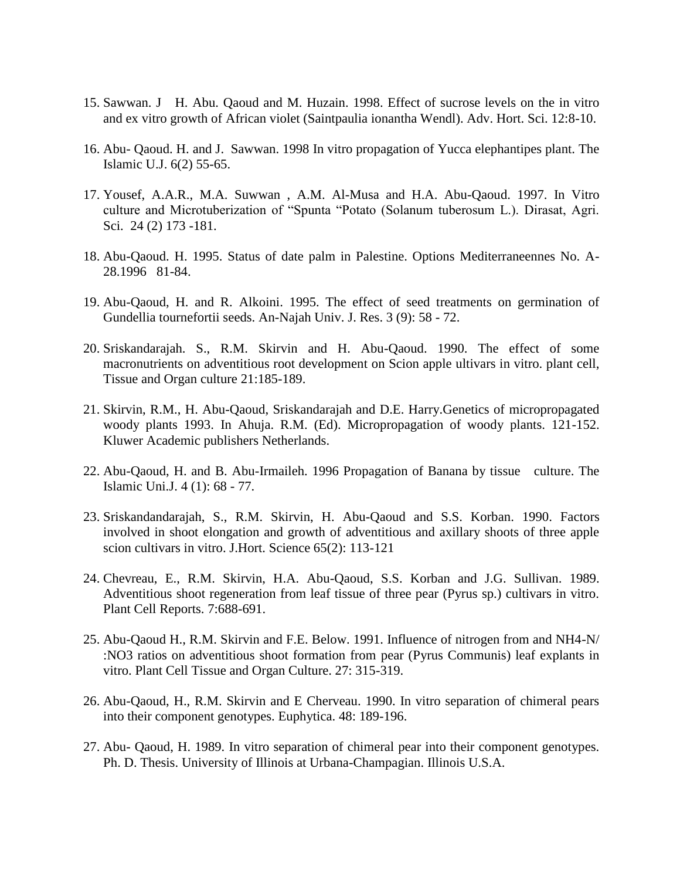- 15. Sawwan. J H. Abu. Qaoud and M. Huzain. 1998. Effect of sucrose levels on the in vitro and ex vitro growth of African violet (Saintpaulia ionantha Wendl). Adv. Hort. Sci. 12:8-10.
- 16. Abu- Qaoud. H. and J. Sawwan. 1998 In vitro propagation of Yucca elephantipes plant. The Islamic U.J. 6(2) 55-65.
- 17. Yousef, A.A.R., M.A. Suwwan , A.M. Al-Musa and H.A. Abu-Qaoud. 1997. In Vitro culture and Microtuberization of "Spunta "Potato (Solanum tuberosum L.). Dirasat, Agri. Sci. 24 (2) 173 -181.
- 18. Abu-Qaoud. H. 1995. Status of date palm in Palestine. Options Mediterraneennes No. A-28.1996 81-84.
- 19. Abu-Qaoud, H. and R. Alkoini. 1995. The effect of seed treatments on germination of Gundellia tournefortii seeds. An-Najah Univ. J. Res. 3 (9): 58 - 72.
- 20. Sriskandarajah. S., R.M. Skirvin and H. Abu-Qaoud. 1990. The effect of some macronutrients on adventitious root development on Scion apple ultivars in vitro. plant cell, Tissue and Organ culture 21:185-189.
- 21. Skirvin, R.M., H. Abu-Qaoud, Sriskandarajah and D.E. Harry.Genetics of micropropagated woody plants 1993. In Ahuja. R.M. (Ed). Micropropagation of woody plants. 121-152. Kluwer Academic publishers Netherlands.
- 22. Abu-Qaoud, H. and B. Abu-Irmaileh. 1996 Propagation of Banana by tissue culture. The Islamic Uni.J. 4 (1): 68 - 77.
- 23. Sriskandandarajah, S., R.M. Skirvin, H. Abu-Qaoud and S.S. Korban. 1990. Factors involved in shoot elongation and growth of adventitious and axillary shoots of three apple scion cultivars in vitro. J.Hort. Science 65(2): 113-121
- 24. Chevreau, E., R.M. Skirvin, H.A. Abu-Qaoud, S.S. Korban and J.G. Sullivan. 1989. Adventitious shoot regeneration from leaf tissue of three pear (Pyrus sp.) cultivars in vitro. Plant Cell Reports. 7:688-691.
- 25. Abu-Qaoud H., R.M. Skirvin and F.E. Below. 1991. Influence of nitrogen from and NH4-N/ :NO3 ratios on adventitious shoot formation from pear (Pyrus Communis) leaf explants in vitro. Plant Cell Tissue and Organ Culture. 27: 315-319.
- 26. Abu-Qaoud, H., R.M. Skirvin and E Cherveau. 1990. In vitro separation of chimeral pears into their component genotypes. Euphytica. 48: 189-196.
- 27. Abu- Qaoud, H. 1989. In vitro separation of chimeral pear into their component genotypes. Ph. D. Thesis. University of Illinois at Urbana-Champagian. Illinois U.S.A.